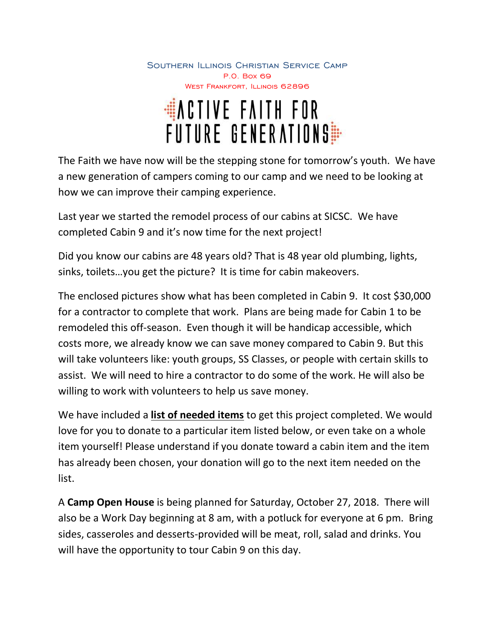Southern Illinois Christian Service Camp P.O. Box 69 WEST FRANKFORT, ILLINOIS 62896

# WACTIVE FAITH FOR<br>Future Generations

The Faith we have now will be the stepping stone for tomorrow's youth. We have a new generation of campers coming to our camp and we need to be looking at how we can improve their camping experience.

Last year we started the remodel process of our cabins at SICSC. We have completed Cabin 9 and it's now time for the next project!

Did you know our cabins are 48 years old? That is 48 year old plumbing, lights, sinks, toilets…you get the picture? It is time for cabin makeovers.

The enclosed pictures show what has been completed in Cabin 9. It cost \$30,000 for a contractor to complete that work. Plans are being made for Cabin 1 to be remodeled this off-season. Even though it will be handicap accessible, which costs more, we already know we can save money compared to Cabin 9. But this will take volunteers like: youth groups, SS Classes, or people with certain skills to assist. We will need to hire a contractor to do some of the work. He will also be willing to work with volunteers to help us save money.

We have included a **list of needed items** to get this project completed. We would love for you to donate to a particular item listed below, or even take on a whole item yourself! Please understand if you donate toward a cabin item and the item has already been chosen, your donation will go to the next item needed on the list.

A **Camp Open House** is being planned for Saturday, October 27, 2018. There will also be a Work Day beginning at 8 am, with a potluck for everyone at 6 pm. Bring sides, casseroles and desserts-provided will be meat, roll, salad and drinks. You will have the opportunity to tour Cabin 9 on this day.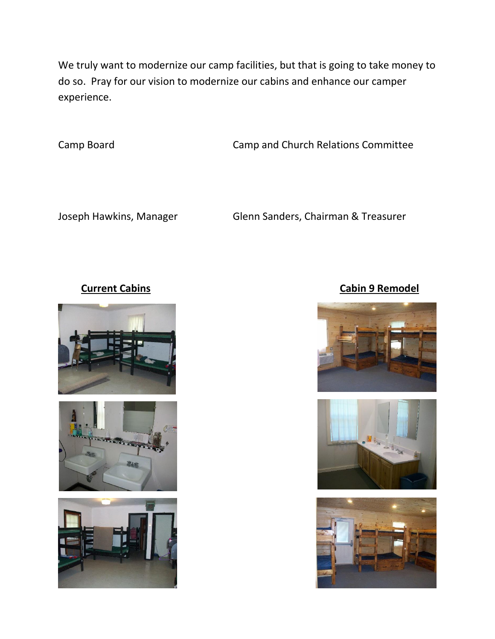We truly want to modernize our camp facilities, but that is going to take money to do so. Pray for our vision to modernize our cabins and enhance our camper experience.

Camp Board Camp and Church Relations Committee

Joseph Hawkins, Manager Glenn Sanders, Chairman & Treasurer







### **Current Cabins Current Cabin 9 Remodel**





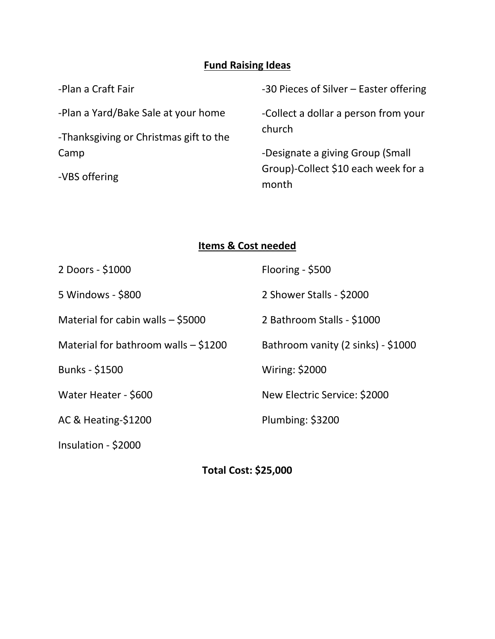# **Fund Raising Ideas**

| -Plan a Craft Fair                     | -30 Pieces of Silver – Easter offering       |
|----------------------------------------|----------------------------------------------|
| -Plan a Yard/Bake Sale at your home    | -Collect a dollar a person from your         |
| -Thanksgiving or Christmas gift to the | church                                       |
| Camp                                   | -Designate a giving Group (Small             |
| -VBS offering                          | Group)-Collect \$10 each week for a<br>month |
|                                        |                                              |

## **Items & Cost needed**

| 2 Doors - \$1000                       | Flooring - \$500                   |
|----------------------------------------|------------------------------------|
| 5 Windows - \$800                      | 2 Shower Stalls - \$2000           |
| Material for cabin walls $-$ \$5000    | 2 Bathroom Stalls - \$1000         |
| Material for bathroom walls $-$ \$1200 | Bathroom vanity (2 sinks) - \$1000 |
| <b>Bunks - \$1500</b>                  | <b>Wiring: \$2000</b>              |
| Water Heater - \$600                   | New Electric Service: \$2000       |
| AC & Heating-\$1200                    | Plumbing: \$3200                   |
| Insulation - \$2000                    |                                    |

**Total Cost: \$25,000**